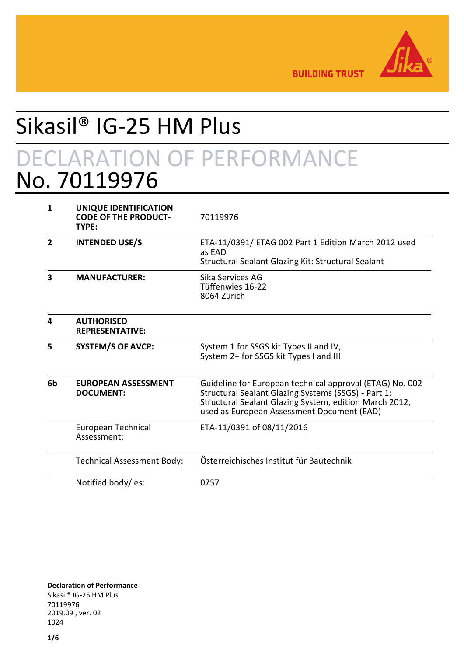

**BUILDING TRUST** 

# Sikasil® IG-25 HM Plus

## DECLARATION OF PERFORMANCE No. 70119976

| 1              | UNIQUE IDENTIFICATION<br><b>CODE OF THE PRODUCT-</b><br>TYPE: | 70119976                                                                                                                                                                                                                |  |
|----------------|---------------------------------------------------------------|-------------------------------------------------------------------------------------------------------------------------------------------------------------------------------------------------------------------------|--|
| $\overline{2}$ | <b>INTENDED USE/S</b>                                         | ETA-11/0391/ ETAG 002 Part 1 Edition March 2012 used<br>as EAD<br>Structural Sealant Glazing Kit: Structural Sealant                                                                                                    |  |
| 3              | <b>MANUFACTURER:</b>                                          | Sika Services AG<br>Tüffenwies 16-22<br>8064 Zürich                                                                                                                                                                     |  |
| 4              | <b>AUTHORISED</b><br><b>REPRESENTATIVE:</b>                   |                                                                                                                                                                                                                         |  |
| 5              | <b>SYSTEM/S OF AVCP:</b>                                      | System 1 for SSGS kit Types II and IV,<br>System 2+ for SSGS kit Types I and III                                                                                                                                        |  |
| 6b             | <b>EUROPEAN ASSESSMENT</b><br><b>DOCUMENT:</b>                | Guideline for European technical approval (ETAG) No. 002<br>Structural Sealant Glazing Systems (SSGS) - Part 1:<br>Structural Sealant Glazing System, edition March 2012,<br>used as European Assessment Document (EAD) |  |
|                | European Technical<br>Assessment:                             | ETA-11/0391 of 08/11/2016                                                                                                                                                                                               |  |
|                | <b>Technical Assessment Body:</b>                             | Österreichisches Institut für Bautechnik                                                                                                                                                                                |  |
|                | Notified body/ies:                                            | 0757                                                                                                                                                                                                                    |  |

**Declaration of Performance** Sikasil® IG-25 HM Plus 70119976 2019.09 , ver. 02 1024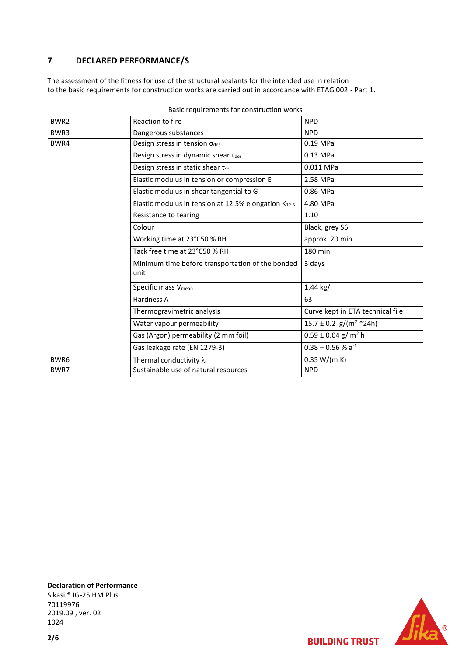### **7 DECLARED PERFORMANCE/S**

The assessment of the fitness for use of the structural sealants for the intended use in relation to the basic requirements for construction works are carried out in accordance with ETAG 002 - Part 1.

|                  | Basic requirements for construction works                 |                                        |
|------------------|-----------------------------------------------------------|----------------------------------------|
| BWR <sub>2</sub> | Reaction to fire                                          | <b>NPD</b>                             |
| BWR3             | Dangerous substances                                      | <b>NPD</b>                             |
| BWR4             | Design stress in tension odes                             | 0.19 MPa                               |
|                  | Design stress in dynamic shear Tdes                       | 0.13 MPa                               |
|                  | Design stress in static shear t∞                          | 0.011 MPa                              |
|                  | Elastic modulus in tension or compression E               | 2.58 MPa                               |
|                  | Elastic modulus in shear tangential to G                  | 0.86 MPa                               |
|                  | Elastic modulus in tension at 12.5% elongation $K_{12.5}$ | 4.80 MPa                               |
|                  | Resistance to tearing                                     | 1.10                                   |
|                  | Colour                                                    | Black, grey S6                         |
|                  | Working time at 23°C50 % RH                               | approx. 20 min                         |
|                  | Tack free time at 23°C50 % RH                             | 180 min                                |
|                  | Minimum time before transportation of the bonded<br>unit  | 3 days                                 |
|                  | Specific mass V <sub>mean</sub>                           | $1.44$ kg/l                            |
|                  | Hardness A                                                | 63                                     |
|                  | Thermogravimetric analysis                                | Curve kept in ETA technical file       |
|                  | Water vapour permeability                                 | $15.7 \pm 0.2$ g/(m <sup>2</sup> *24h) |
|                  | Gas (Argon) permeability (2 mm foil)                      | $0.59 \pm 0.04$ g/m <sup>2</sup> h     |
|                  | Gas leakage rate (EN 1279-3)                              | $0.38 - 0.56 %$ a <sup>-1</sup>        |
| BWR6             | Thermal conductivity $\lambda$                            | 0.35 W/(m K)                           |
| BWR7             | Sustainable use of natural resources                      | <b>NPD</b>                             |

**Declaration of Performance** Sikasil® IG-25 HM Plus 70119976 2019.09 , ver. 02 1024



**BUILDING TRUST**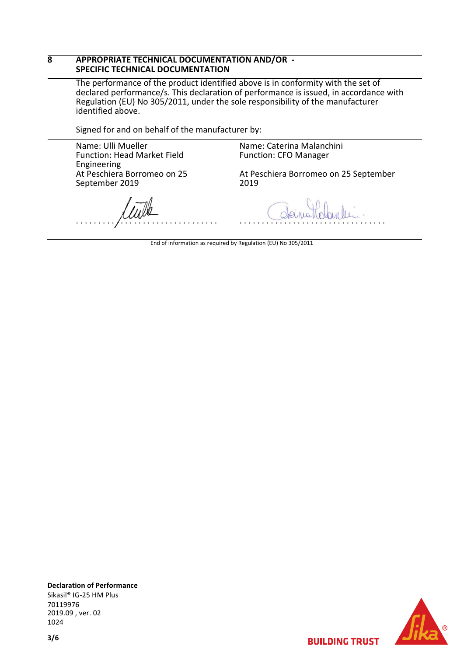#### **8 APPROPRIATE TECHNICAL DOCUMENTATION AND/OR - SPECIFIC TECHNICAL DOCUMENTATION**

The performance of the product identified above is in conformity with the set of declared performance/s. This declaration of performance is issued, in accordance with Regulation (EU) No 305/2011, under the sole responsibility of the manufacturer identified above.

Signed for and on behalf of the manufacturer by:

Name: Ulli Mueller Function: Head Market Field Engineering At Peschiera Borromeo on 25 September 2019

Name: Caterina Malanchini Function: CFO Manager

At Peschiera Borromeo on 25 September 2019

. . . . . . . . . . . . . . . . . . . . . . . . . . . . . . . .

. . . . . . . . . . . . . . . . . . . . . . . . . . . . . . . . .

End of information as required by Regulation (EU) No 305/2011



**BUILDING TRUST** 

**Declaration of Performance** Sikasil® IG-25 HM Plus 70119976 2019.09 , ver. 02 1024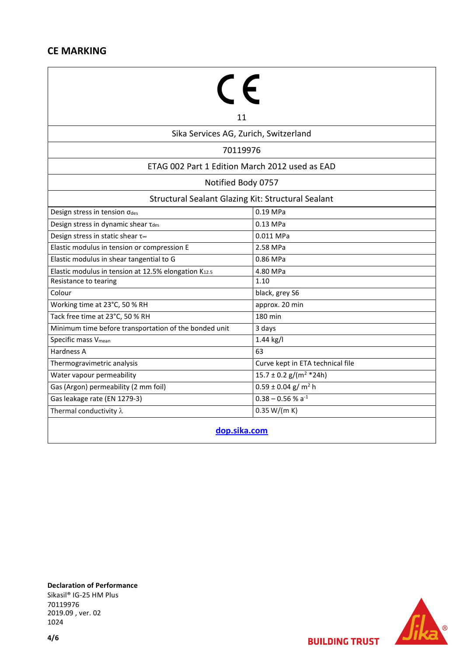## **CE MARKING**

| 11                                                               |                                        |  |  |  |  |
|------------------------------------------------------------------|----------------------------------------|--|--|--|--|
| Sika Services AG, Zurich, Switzerland                            |                                        |  |  |  |  |
| 70119976                                                         |                                        |  |  |  |  |
| ETAG 002 Part 1 Edition March 2012 used as EAD                   |                                        |  |  |  |  |
|                                                                  |                                        |  |  |  |  |
| Notified Body 0757                                               |                                        |  |  |  |  |
| Structural Sealant Glazing Kit: Structural Sealant               |                                        |  |  |  |  |
| Design stress in tension odes                                    | 0.19 MPa                               |  |  |  |  |
| Design stress in dynamic shear Tdes                              | $0.13$ MPa                             |  |  |  |  |
| Design stress in static shear t∞                                 | 0.011 MPa                              |  |  |  |  |
| Elastic modulus in tension or compression E                      | 2.58 MPa                               |  |  |  |  |
| Elastic modulus in shear tangential to G                         | 0.86 MPa                               |  |  |  |  |
| Elastic modulus in tension at 12.5% elongation K <sub>12.5</sub> | 4.80 MPa                               |  |  |  |  |
| Resistance to tearing                                            | 1.10                                   |  |  |  |  |
| Colour                                                           | black, grey S6                         |  |  |  |  |
| Working time at 23°C, 50 % RH                                    | approx. 20 min                         |  |  |  |  |
| Tack free time at 23°C, 50 % RH                                  | 180 min                                |  |  |  |  |
| Minimum time before transportation of the bonded unit            | 3 days                                 |  |  |  |  |
| Specific mass V <sub>mean</sub>                                  | 1.44 kg/l                              |  |  |  |  |
| Hardness A                                                       | 63                                     |  |  |  |  |
| Thermogravimetric analysis                                       | Curve kept in ETA technical file       |  |  |  |  |
| Water vapour permeability                                        | $15.7 \pm 0.2$ g/(m <sup>2</sup> *24h) |  |  |  |  |
| Gas (Argon) permeability (2 mm foil)                             | $0.59 \pm 0.04$ g/m <sup>2</sup> h     |  |  |  |  |
| Gas leakage rate (EN 1279-3)                                     | $0.38 - 0.56 % a-1$                    |  |  |  |  |
| Thermal conductivity $\lambda$                                   | 0.35 W/(m K)                           |  |  |  |  |
| المسالف المستمرات                                                |                                        |  |  |  |  |

**[dop.sika.com](http://dop.sika.com/)**

**Declaration of Performance** Sikasil® IG-25 HM Plus 70119976 2019.09 , ver. 02 1024



**BUILDING TRUST**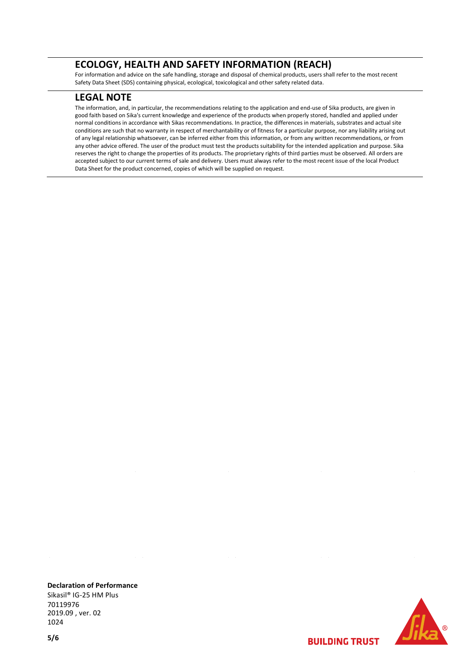#### **ECOLOGY, HEALTH AND SAFETY INFORMATION (REACH)**

For information and advice on the safe handling, storage and disposal of chemical products, users shall refer to the most recent Safety Data Sheet (SDS) containing physical, ecological, toxicological and other safety related data.

#### **LEGAL NOTE**

The information, and, in particular, the recommendations relating to the application and end-use of Sika products, are given in good faith based on Sika's current knowledge and experience of the products when properly stored, handled and applied under normal conditions in accordance with Sikas recommendations. In practice, the differences in materials, substrates and actual site conditions are such that no warranty in respect of merchantability or of fitness for a particular purpose, nor any liability arising out of any legal relationship whatsoever, can be inferred either from this information, or from any written recommendations, or from any other advice offered. The user of the product must test the products suitability for the intended application and purpose. Sika reserves the right to change the properties of its products. The proprietary rights of third parties must be observed. All orders are accepted subject to our current terms of sale and delivery. Users must always refer to the most recent issue of the local Product Data Sheet for the product concerned, copies of which will be supplied on request.

**BUILDING TRUST** 

**Declaration of Performance** Sikasil® IG-25 HM Plus 70119976 2019.09 , ver. 02 1024